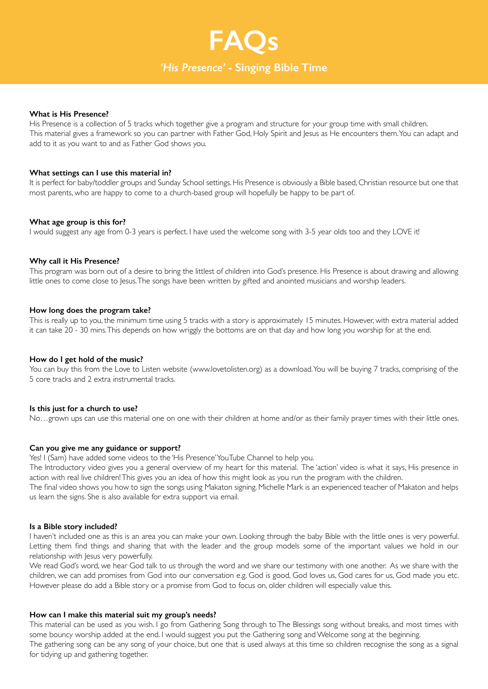## *'His Presence'* **- Singing Bible Time**

**FAQs**

#### **What is His Presence?**

His Presence is a collection of 5 tracks which together give a program and structure for your group time with small children. This material gives a framework so you can partner with Father God, Holy Spirit and Jesus as He encounters them. You can adapt and add to it as you want to and as Father God shows you.

#### **What settings can I use this material in?**

It is perfect for baby/toddler groups and Sunday School settings. His Presence is obviously a Bible based, Christian resource but one that most parents, who are happy to come to a church-based group will hopefully be happy to be part of.

#### **What age group is this for?**

I would suggest any age from 0-3 years is perfect. I have used the welcome song with 3-5 year olds too and they LOVE it!

#### **Why call it His Presence?**

This program was born out of a desire to bring the littlest of children into God's presence. His Presence is about drawing and allowing little ones to come close to Jesus. The songs have been written by gifted and anointed musicians and worship leaders.

#### **How long does the program take?**

This is really up to you, the minimum time using 5 tracks with a story is approximately 15 minutes. However, with extra material added it can take 20 - 30 mins. This depends on how wriggly the bottoms are on that day and how long you worship for at the end.

#### **How do I get hold of the music?**

You can buy this from the Love to Listen website (www.lovetolisten.org) as a download. You will be buying 7 tracks, comprising of the 5 core tracks and 2 extra instrumental tracks.

#### **Is this just for a church to use?**

No…grown ups can use this material one on one with their children at home and/or as their family prayer times with their little ones.

#### **Can you give me any guidance or support?**

Yes! I (Sam) have added some videos to the 'His Presence' YouTube Channel to help you.

The Introductory video gives you a general overview of my heart for this material. The 'action' video is what it says, His presence in action with real live children! This gives you an idea of how this might look as you run the program with the children.

The final video shows you how to sign the songs using Makaton signing. Michelle Mark is an experienced teacher of Makaton and helps us learn the signs. She is also available for extra support via email.

#### **Is a Bible story included?**

I haven't included one as this is an area you can make your own. Looking through the baby Bible with the little ones is very powerful. Letting them find things and sharing that with the leader and the group models some of the important values we hold in our relationship with Jesus very powerfully.

We read God's word, we hear God talk to us through the word and we share our testimony with one another. As we share with the children, we can add promises from God into our conversation e.g. God is good, God loves us, God cares for us, God made you etc. However please do add a Bible story or a promise from God to focus on, older children will especially value this.

#### **How can I make this material suit my group's needs?**

This material can be used as you wish. I go from Gathering Song through to The Blessings song without breaks, and most times with some bouncy worship added at the end. I would suggest you put the Gathering song and Welcome song at the beginning. The gathering song can be any song of your choice, but one that is used always at this time so children recognise the song as a signal for tidying up and gathering together.